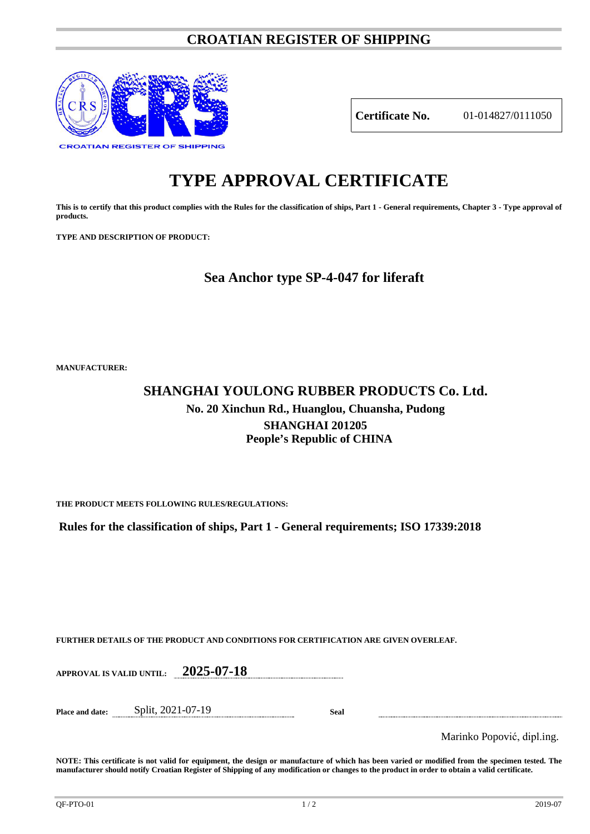# **CROATIAN REGISTER OF SHIPPING**



**Certificate No.** 01-014827/0111050

# **TYPE APPROVAL CERTIFICATE**

**This is to certify that this product complies with the Rules for the classification of ships, Part 1 - General requirements, Chapter 3 - Type approval of products.**

**TYPE AND DESCRIPTION OF PRODUCT:** 

# **Sea Anchor type SP-4-047 for liferaft**

**MANUFACTURER:**

# **SHANGHAI YOULONG RUBBER PRODUCTS Co. Ltd. No. 20 Xinchun Rd., Huanglou, Chuansha, Pudong SHANGHAI 201205 People's Republic of CHINA**

**THE PRODUCT MEETS FOLLOWING RULES/REGULATIONS:**

**Rules for the classification of ships, Part 1 - General requirements; ISO 17339:2018**

**FURTHER DETAILS OF THE PRODUCT AND CONDITIONS FOR CERTIFICATION ARE GIVEN OVERLEAF.**

**APPROVAL IS VALID UNTIL: 2025-07-18**

**Place and date:** Split, 2021-07-19 **Seal**

Marinko Popović, dipl.ing.

**NOTE: This certificate is not valid for equipment, the design or manufacture of which has been varied or modified from the specimen tested. The manufacturer should notify Croatian Register of Shipping of any modification or changes to the product in order to obtain a valid certificate.**